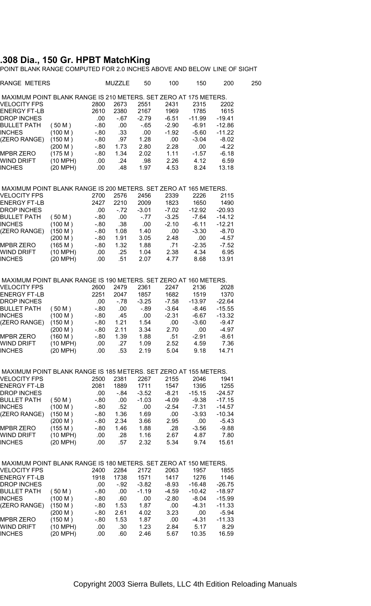## **.308 Dia., 150 Gr. HPBT MatchKing**

POINT BLANK RANGE COMPUTED FOR 2.0 INCHES ABOVE AND BELOW LINE OF SIGHT

| <b>RANGE METERS</b>                                              |          |         | MUZZLE | 50      | 100     | 150              | 200      | 250 |
|------------------------------------------------------------------|----------|---------|--------|---------|---------|------------------|----------|-----|
| MAXIMUM POINT BLANK RANGE IS 210 METERS. SET ZERO AT 175 METERS. |          |         |        |         |         |                  |          |     |
| <b>VELOCITY FPS</b>                                              |          | 2800    | 2673   | 2551    | 2431    | 2315             | 2202     |     |
| <b>ENERGY FT-LB</b>                                              |          | 2610    | 2380   | 2167    | 1969    | 1785             | 1615     |     |
| DROP INCHES                                                      |          | .00     | $-67$  | $-2.79$ | $-6.51$ | $-11.99$         | $-19.41$ |     |
| <b>BULLET PATH</b>                                               | (50 M)   | -.80    | .00    | $-65$   | $-2.90$ | $-6.91$          | $-12.86$ |     |
| INCHES                                                           | (100 M)  | - 80    | .33    | .00     | $-1.92$ | $-5.60$          | $-11.22$ |     |
| (ZERO RANGE)                                                     | (150 M)  | -.80    | .97    | 1.28    | .00     | $-3.04$          | $-8.02$  |     |
|                                                                  | (200 M)  | - 80    | 1.73   | 2.80    | 2.28    | .00              | $-4.22$  |     |
| <b>MPBR ZERO</b>                                                 | (175 M)  | - 80    | 1.34   | 2.02    | 1.11    | $-1.57$          | $-6.18$  |     |
| WIND DRIFT                                                       | (10 MPH) | .00     | .24    | .98     | 2.26    | 4.12             | 6.59     |     |
| INCHES                                                           | (20 MPH) | .00     | .48    | 1.97    | 4.53    | 8.24             | 13.18    |     |
| MAXIMUM POINT BLANK RANGE IS 200 METERS. SET ZERO AT 165 METERS. |          |         |        |         |         |                  |          |     |
| <b>VELOCITY FPS</b>                                              |          | 2700    | 2576   | 2456    | 2339    | 2226             | 2115     |     |
| <b>ENERGY FT-LB</b>                                              |          | 2427    | 2210   | 2009    | 1823    | 1650             | 1490     |     |
| <b>DROP INCHES</b>                                               |          | .00     | $-72$  | $-3.01$ | $-7.02$ | $-12.92$         | $-20.93$ |     |
| BULLET PATH                                                      | (50 M)   | - 80    | .00    | $-77$   | $-3.25$ | -7.64            | $-14.12$ |     |
| INCHES                                                           | (100 M)  | $-0.80$ | .38    | .00     | $-2.10$ | $-6.11$          | $-12.21$ |     |
| (ZERO RANGE)                                                     | (150 M)  | $-80$   | 1.08   | 1.40    | .00     | $-3.30$          | $-8.70$  |     |
|                                                                  | (200 M)  | - 80    | 1.91   | 3.05    | 2.48    | .00              | $-4.57$  |     |
| <b>MPBR ZERO</b>                                                 | (165 M)  | -.80    | 1.32   | 1.88    | .71     | $-2.35$          | $-7.52$  |     |
|                                                                  |          |         | .25    |         | 2.38    | 4.34             | 6.95     |     |
| WIND DRIFT<br><b>INCHES</b>                                      | (10 MPH) | .00     |        | 1.04    |         |                  |          |     |
|                                                                  | (20 MPH) | .00     | .51    | 2.07    | 4.77    | 8.68             | 13.91    |     |
| MAXIMUM POINT BLANK RANGE IS 190 METERS. SET ZERO AT 160 METERS. |          |         |        |         |         |                  |          |     |
| <b>VELOCITY FPS</b>                                              |          | 2600    | 2479   | 2361    | 2247    | 2136             | 2028     |     |
| <b>ENERGY FT-LB</b>                                              |          | 2251    | 2047   | 1857    | 1682    | 1519             | 1370     |     |
| <b>DROP INCHES</b>                                               |          | .00     | $-78$  | $-3.25$ | $-7.58$ | $-13.97$         | $-22.64$ |     |
| <b>BULLET PATH</b>                                               | (50 M)   | $-80$   | .00    | $-89$   | $-3.64$ | -8.46            | $-15.55$ |     |
| INCHES                                                           | (100 M)  | $-80$   | .45    | .00     | $-2.31$ | $-6.67$          | $-13.32$ |     |
| (ZERO RANGE)                                                     | (150 M)  | $-80$   | 1.21   | 1.54    | .00     | $-3.60$          | $-9.47$  |     |
|                                                                  | (200 M)  | $-80$   | 2.11   | 3.34    | 2.70    | .00.             | $-4.97$  |     |
| MPBR ZERO                                                        | (160 M)  | -.80    | 1.39   | 1.88    | .51     | $-2.91$          | $-8.61$  |     |
| WIND DRIFT                                                       | (10 MPH) | .00     | .27    | 1.09    | 2.52    | 4.59             | 7.36     |     |
| <b>INCHES</b>                                                    | (20 MPH) | .00     | .53    | 2.19    | 5.04    | 9.18             | 14.71    |     |
| MAXIMUM POINT BLANK RANGE IS 185 METERS. SET ZERO AT 155 METERS. |          |         |        |         |         |                  |          |     |
| <b>VELOCITY FPS</b>                                              |          | 2500    | 2381   | 2267    | 2155    | 2046             | 1941     |     |
| <b>ENERGY FT-LB</b>                                              |          | 2081    | 1889   | 1711    | 1547    | 1395             | 1255     |     |
| <b>DROP INCHES</b>                                               |          | .00     | -.84   | $-3.52$ | $-8.21$ | $-15.15$         | $-24.57$ |     |
| BULLET PATH                                                      | (50 M)   | $-80$   | .00    | $-1.03$ | $-4.09$ | $-9.38$          | $-17.15$ |     |
| INCHES                                                           | (100 M)  | $-80$   | .52    | .00     | $-2.54$ | $-7.31$          | $-14.57$ |     |
| (ZERO RANGE)                                                     | (150 M)  | $-80$   | 1.36   | 1.69    | .00     | $-3.93$          | $-10.34$ |     |
|                                                                  | (200 M)  | $-0.80$ | 2.34   | 3.66    | 2.95    | .00              | -5.43    |     |
| <b>MPBR ZERO</b>                                                 | (155 M)  | - 80    | 1.46   | 1.88    | .28     | $-3.56$          | -9.88    |     |
| WIND DRIFT                                                       | (10 MPH) | .00     | .28    | 1.16    | 2.67    | 4.87             | 7.80     |     |
| <b>INCHES</b>                                                    | (20 MPH) | .00     | .57    | 2.32    | 5.34    | 9.74             | 15.61    |     |
| MAXIMUM POINT BLANK RANGE IS 180 METERS. SET ZERO AT 150 METERS. |          |         |        |         |         |                  |          |     |
| <b>VELOCITY FPS</b>                                              |          | 2400    | 2284   | 2172    | 2063    | 1957             | 1855     |     |
| <b>ENERGY FT-LB</b>                                              |          | 1918    |        | 1571    |         |                  |          |     |
|                                                                  |          |         | 1738   |         | 1417    | 1276<br>$-16.48$ | 1146     |     |
| DROP INCHES                                                      |          | .00     | $-92$  | $-3.82$ | $-8.93$ |                  | $-26.75$ |     |
| BULLET PATH                                                      | (50 M)   | - 80    | .00    | $-1.19$ | $-4.59$ | $-10.42$         | -18.97   |     |
| INCHES                                                           | (100 M)  | - 80    | .60    | .00     | $-2.80$ | $-8.04$          | $-15.99$ |     |
| (ZERO RANGE)                                                     | (150 M)  | - 80    | 1.53   | 1.87    | .00     | $-4.31$          | $-11.33$ |     |
|                                                                  | (200 M)  | - 80    | 2.61   | 4.02    | 3.23    | .00              | $-5.94$  |     |
| <b>MPBR ZERO</b>                                                 | (150 M)  | $-80$   | 1.53   | 1.87    | .00     | $-4.31$          | $-11.33$ |     |
| WIND DRIFT                                                       | (10 MPH) | .00     | .30    | 1.23    | 2.84    | 5.17             | 8.29     |     |
| INCHES                                                           | (20 MPH) | .00     | .60    | 2.46    | 5.67    | 10.35            | 16.59    |     |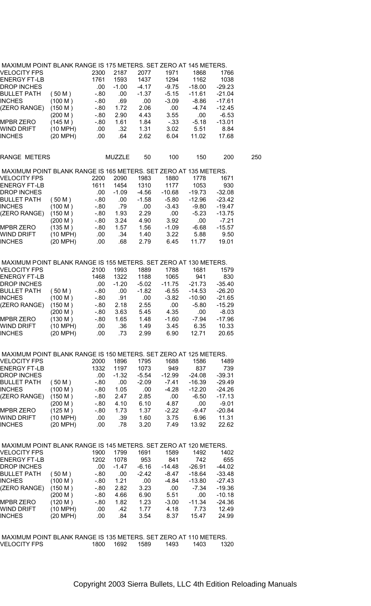| MAAIMUM PUINT BLANN RANGE 13 TTD METERS. SET ZERU AT 140 METERS. |            |         |         |         |          |          |          |     |
|------------------------------------------------------------------|------------|---------|---------|---------|----------|----------|----------|-----|
| VELOCITY FPS                                                     |            | 2300    | 2187    | 2077    | 1971     | 1868     | 1766     |     |
| <b>ENERGY FT-LB</b>                                              |            | 1761    | 1593    | 1437    | 1294     | 1162     | 1038     |     |
| <b>DROP INCHES</b>                                               |            | .00     | $-1.00$ | $-4.17$ | $-9.75$  | $-18.00$ | $-29.23$ |     |
| <b>BULLET PATH</b>                                               | (50 M)     | $-80$   | .00.    | $-1.37$ | $-5.15$  | $-11.61$ | $-21.04$ |     |
| <b>INCHES</b>                                                    | (100 M)    | $-0.80$ | .69     | .00     | $-3.09$  | $-8.86$  | $-17.61$ |     |
| (ZERO RANGE)                                                     | (150 M)    | - 80    | 1.72    | 2.06    | .00      | $-4.74$  | $-12.45$ |     |
|                                                                  | (200 M)    | $-80$   | 2.90    | 4.43    | 3.55     | .00      | $-6.53$  |     |
| <b>MPBR ZERO</b>                                                 | (145 M)    |         | 1.61    |         |          |          |          |     |
|                                                                  |            | $-80$   |         | 1.84    | $-33$    | $-5.18$  | $-13.01$ |     |
| WIND DRIFT                                                       | (10 MPH)   | .00.    | .32     | 1.31    | 3.02     | 5.51     | 8.84     |     |
| <b>INCHES</b>                                                    | (20 MPH)   | .00.    | .64     | 2.62    | 6.04     | 11.02    | 17.68    |     |
| RANGE METERS                                                     |            |         | MUZZLE  | 50      | 100      | 150      | 200      | 250 |
| MAXIMUM POINT BLANK RANGE IS 165 METERS. SET ZERO AT 135 METERS. |            |         |         |         |          |          |          |     |
| <b>VELOCITY FPS</b>                                              |            | 2200    | 2090    | 1983    | 1880     | 1778     | 1671     |     |
| <b>ENERGY FT-LB</b>                                              |            | 1611    | 1454    | 1310    | 1177     | 1053     | 930      |     |
| <b>DROP INCHES</b>                                               |            | .00     | $-1.09$ | $-4.56$ | $-10.68$ | $-19.73$ | $-32.08$ |     |
| <b>BULLET PATH</b>                                               | (50 M)     | $-0.80$ | .00.    | $-1.58$ | $-5.80$  | $-12.96$ | $-23.42$ |     |
| <b>INCHES</b>                                                    | (100 M)    | $-80$   | .79     | .00     | $-3.43$  | $-9.80$  | $-19.47$ |     |
| (ZERO RANGE)                                                     | (150 M)    | -.80    | 1.93    | 2.29    | .00.     | $-5.23$  | $-13.75$ |     |
|                                                                  | (200 M)    | $-80$   | 3.24    | 4.90    | 3.92     | .00      | $-7.21$  |     |
|                                                                  |            |         |         |         |          |          |          |     |
| <b>MPBR ZERO</b>                                                 | (135 M)    | $-80$   | 1.57    | 1.56    | $-1.09$  | $-6.68$  | $-15.57$ |     |
| WIND DRIFT                                                       | (10 MPH)   | .00     | .34     | 1.40    | 3.22     | 5.88     | 9.50     |     |
| <b>INCHES</b>                                                    | (20 MPH)   | .00.    | .68     | 2.79    | 6.45     | 11.77    | 19.01    |     |
| MAXIMUM POINT BLANK RANGE IS 155 METERS. SET ZERO AT 130 METERS. |            |         |         |         |          |          |          |     |
| <b>VELOCITY FPS</b>                                              |            | 2100    | 1993    | 1889    | 1788     | 1681     | 1579     |     |
| <b>ENERGY FT-LB</b>                                              |            | 1468    | 1322    | 1188    | 1065     | 941      | 830      |     |
| <b>DROP INCHES</b>                                               |            | .00.    | $-1.20$ | $-5.02$ | $-11.75$ | -21.73   | $-35.40$ |     |
| <b>BULLET PATH</b>                                               | (50 M)     | $-0.80$ |         | $-1.82$ |          | $-14.53$ | $-26.20$ |     |
|                                                                  |            |         | .00     |         | $-6.55$  |          |          |     |
| <b>INCHES</b>                                                    | (100 M)    | $-0.80$ | .91     | .00     | $-3.82$  | $-10.90$ | $-21.65$ |     |
| (ZERO RANGE)                                                     | (150 M)    | $-80$   | 2.18    | 2.55    | .00.     | $-5.80$  | $-15.29$ |     |
|                                                                  | (200 M)    | $-80$   | 3.63    | 5.45    | 4.35     | .00      | $-8.03$  |     |
| <b>MPBR ZERO</b>                                                 | (130 M)    | - 80    | 1.65    | 1.48    | $-1.60$  | -7.94    | $-17.96$ |     |
| WIND DRIFT                                                       | (10 MPH)   | .00     | .36     | 1.49    | 3.45     | 6.35     | 10.33    |     |
| <b>INCHES</b>                                                    | (20 MPH)   | .00     | .73     | 2.99    | 6.90     | 12.71    | 20.65    |     |
| MAXIMUM POINT BLANK RANGE IS 150 METERS. SET ZERO AT 125 METERS. |            |         |         |         |          |          |          |     |
| <b>VELOCITY FPS</b>                                              |            | 2000    | 1896    | 1795    | 1688     | 1586     | 1489     |     |
| <b>ENERGY FT-LB</b>                                              |            | 1332    | 1197    | 1073    | 949      | 837      | 739      |     |
|                                                                  |            |         |         |         |          |          |          |     |
| <b>DROP INCHES</b>                                               |            | .00     | $-1.32$ | $-5.54$ | $-12.99$ | $-24.08$ | $-39.31$ |     |
| <b>BULLET PATH</b>                                               | (50 M)     | $-80$   | .00.    | $-2.09$ | $-7.41$  | $-16.39$ | $-29.49$ |     |
| <b>INCHES</b>                                                    | (100 M)    | -.80    | 1.05    | .00.    | $-4.28$  | $-12.20$ | $-24.26$ |     |
| (ZERO RANGE)                                                     | (150 M)    | -.80    | 2.47    | 2.85    | .00      | $-6.50$  | $-17.13$ |     |
|                                                                  | (200 M)    | $-80$   | 4.10    | 6.10    | 4.87     | .00      | $-9.01$  |     |
| MPBR ZERO                                                        | (125 M)    | -.80    | 1.73    | 1.37    | -2.22    | -9.47    | -20.84   |     |
| WIND DRIFT                                                       | $(10$ MPH) | .00.    | .39     | 1.60    | 3.75     | 6.96     | 11.31    |     |
| <b>INCHES</b>                                                    | (20 MPH)   | .00.    | .78     | 3.20    | 7.49     | 13.92    | 22.62    |     |
| MAXIMUM POINT BLANK RANGE IS 145 METERS. SET ZERO AT 120 METERS. |            |         |         |         |          |          |          |     |
| VELOCITY FPS                                                     |            | 1900    | 1799    | 1691    | 1589     | 1492     | 1402     |     |
|                                                                  |            |         |         |         |          |          |          |     |
| <b>ENERGY FT-LB</b>                                              |            | 1202    | 1078    | 953     | 841      | 742      | 655      |     |
| <b>DROP INCHES</b>                                               |            | .00     | $-1.47$ | $-6.16$ | $-14.48$ | $-26.91$ | $-44.02$ |     |
| <b>BULLET PATH</b>                                               | (50 M)     | $-0.80$ | .00     | $-2.42$ | -8.47    | $-18.64$ | $-33.48$ |     |
| <b>INCHES</b>                                                    | (100 M)    | $-80$   | 1.21    | .00     | $-4.84$  | $-13.80$ | $-27.43$ |     |
| (ZERO RANGE)                                                     | (150 M)    | $-80$   | 2.82    | 3.23    | .00      | $-7.34$  | $-19.36$ |     |
|                                                                  | (200 M)    | - 80    | 4.66    | 6.90    | 5.51     | .00      | $-10.18$ |     |
| <b>MPBR ZERO</b>                                                 | (120 M)    | $-0.80$ | 1.82    | 1.23    | $-3.00$  | $-11.34$ | $-24.36$ |     |
| WIND DRIFT                                                       | $(10$ MPH) | .00     | .42     | 1.77    | 4.18     | 7.73     | 12.49    |     |
| <b>INCHES</b>                                                    | (20 MPH)   | .00     | .84     | 3.54    | 8.37     | 15.47    | 24.99    |     |
|                                                                  |            |         |         |         |          |          |          |     |
|                                                                  |            |         |         |         |          |          |          |     |

 MAXIMUM POINT BLANK RANGE IS 135 METERS. SET ZERO AT 110 METERS. VELOCITY FPS 1800 1692 1589 1493 1403 1320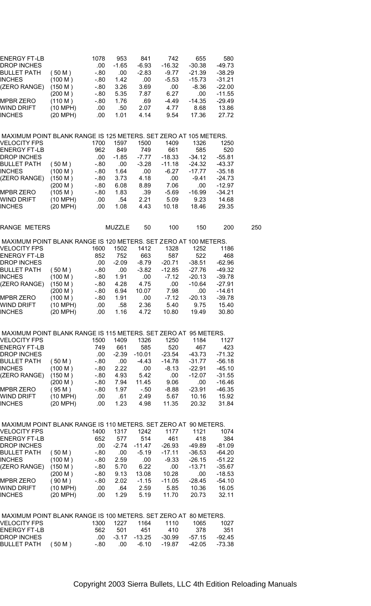| ENERGY FT-LB                                                     |                    | 1078    | 953           | 841      | 742      | 655      | 580      |     |
|------------------------------------------------------------------|--------------------|---------|---------------|----------|----------|----------|----------|-----|
| DROP INCHES                                                      |                    | .00.    | $-1.65$       | $-6.93$  | $-16.32$ | $-30.38$ | -49.73   |     |
| BULLET PATH                                                      | (50 M)             | $-80$   | .00           | $-2.83$  | $-9.77$  | $-21.39$ | $-38.29$ |     |
| INCHES                                                           | (100 M)            | -.80    | 1.42          | .00      | $-5.53$  | $-15.73$ | $-31.21$ |     |
| (ZERO RANGE)                                                     | (150 M)            | - 80    | 3.26          | 3.69     | .00      | -8.36    | $-22.00$ |     |
|                                                                  | (200 M)            | -.80    | 5.35          | 7.87     | 6.27     | .00      | $-11.55$ |     |
| MPBR ZERO                                                        | (110 M)            |         | 1.76          | .69      |          | $-14.35$ | $-29.49$ |     |
|                                                                  |                    | - 80    |               |          | -4.49    |          | 13.86    |     |
| WIND DRIFT                                                       | (10 MPH)           | .00     | .50           | 2.07     | 4.77     | 8.68     |          |     |
| INCHES                                                           | (20 MPH)           | .00.    | 1.01          | 4.14     | 9.54     | 17.36    | 27.72    |     |
|                                                                  |                    |         |               |          |          |          |          |     |
| MAXIMUM POINT BLANK RANGE IS 125 METERS. SET ZERO AT 105 METERS. |                    |         |               |          |          |          |          |     |
| VELOCITY FPS                                                     |                    | 1700    | 1597          | 1500     | 1409     | 1326     | 1250     |     |
| ENERGY FT-LB                                                     |                    | 962     | 849           | 749      | 661      | 585      | 520      |     |
| DROP INCHES                                                      |                    | .00     | $-1.85$       | -7.77    | $-18.33$ | $-34.12$ | $-55.81$ |     |
| BULLET PATH                                                      | (50 M)             | -.80    | .00           | $-3.28$  | $-11.18$ | $-24.32$ | $-43.37$ |     |
| INCHES                                                           | (100 M)            | - 80    | 1.64          | .00      | $-6.27$  | $-17.77$ | $-35.18$ |     |
| (ZERO RANGE)                                                     | (150 M)            | $-80$   | 3.73          | 4.18     | .00.     | -9.41    | $-24.73$ |     |
|                                                                  | (200 M)            | - 80    | 6.08          | 8.89     | 7.06     | .00      | $-12.97$ |     |
| MPBR ZERO                                                        | (105 M)            | $-0.80$ | 1.83          | .39      | $-5.69$  | $-16.99$ | $-34.21$ |     |
| WIND DRIFT                                                       | (10 MPH)           | .00.    | .54           | 2.21     | 5.09     | 9.23     | 14.68    |     |
| INCHES                                                           | (20 MPH)           | .00.    | 1.08          | 4.43     | 10.18    | 18.46    | 29.35    |     |
|                                                                  |                    |         |               |          |          |          |          |     |
| <b>RANGE METERS</b>                                              |                    |         | <b>MUZZLE</b> | 50       | 100      | 150      | 200      | 250 |
| MAXIMUM POINT BLANK RANGE IS 120 METERS. SET ZERO AT 100 METERS. |                    |         |               |          |          |          |          |     |
| <b>VELOCITY FPS</b>                                              |                    | 1600    | 1502          | 1412     | 1328     | 1252     | 1186     |     |
| <b>ENERGY FT-LB</b>                                              |                    | 852     | 752           | 663      | 587      | 522      | 468      |     |
| DROP INCHES                                                      |                    | .00     | $-2.09$       | $-8.79$  | $-20.71$ | $-38.51$ | $-62.96$ |     |
| BULLET PATH                                                      | (50 M)             | -.80    | .00           | $-3.82$  | $-12.85$ | $-27.76$ | $-49.32$ |     |
| INCHES                                                           | (100 M)            | - 80    | 1.91          | .00      | -7.12    | $-20.13$ | $-39.78$ |     |
|                                                                  |                    |         |               |          |          |          |          |     |
| (ZERO RANGE)                                                     | (150 M)            | $-80$   | 4.28          | 4.75     | .00      | $-10.64$ | $-27.91$ |     |
|                                                                  | (200 M)            | $-80$   | 6.94          | 10.07    | 7.98     | .00      | $-14.61$ |     |
| MPBR ZERO                                                        | (100 M)            | $-80$   | 1.91          | .00      | $-7.12$  | $-20.13$ | $-39.78$ |     |
| WIND DRIFT                                                       | (10 MPH)           | .00.    | .58           | 2.36     | 5.40     | 9.75     | 15.40    |     |
| INCHES                                                           | (20 MPH)           | .00.    | 1.16          | 4.72     | 10.80    | 19.49    | 30.80    |     |
|                                                                  |                    |         |               |          |          |          |          |     |
| MAXIMUM POINT BLANK RANGE IS 115 METERS. SET ZERO AT 95 METERS.  |                    |         |               |          |          |          |          |     |
| VELOCITY FPS                                                     |                    | 1500    | 1409          | 1326     | 1250     | 1184     | 1127     |     |
| ENERGY FT-LB                                                     |                    | 749     | 661           | 585      | 520      | 467      | 423      |     |
| DROP INCHES                                                      |                    | .00.    | $-2.39$       | $-10.01$ | -23.54   | -43.73   | $-71.32$ |     |
| BULLET PATH                                                      | (50 M)             | - 80    | .00           | -4.43    | $-14.78$ | $-31.77$ | $-56.18$ |     |
| <b>INCHES</b>                                                    | (100 M)            | -.80    | 2.22          | .00      | $-8.13$  | $-22.91$ | $-45.10$ |     |
| (ZERO RANGE)                                                     | (150 M)            | $-80$   | 4.93          | 5.42     | .00.     | $-12.07$ | $-31.55$ |     |
|                                                                  | (200 M)            | -.80    | 7.94          | 11.45    | 9.06     | .00      | $-16.46$ |     |
| <b>MPBR ZERO</b>                                                 | (95 M)             | $-80$   | 1.97          | $-50$    | $-8.88$  | $-23.91$ | $-46.35$ |     |
|                                                                  |                    |         |               |          |          |          |          |     |
| WIND DRIF I                                                      | $(10 \text{ MPH})$ | .00     | .61           | 2.49     | 5.67     | 10.16    | 15.92    |     |
| <b>INCHES</b>                                                    | (20 MPH)           | .00     | 1.23          | 4.98     | 11.35    | 20.32    | 31.84    |     |
|                                                                  |                    |         |               |          |          |          |          |     |
| MAXIMUM POINT BLANK RANGE IS 110 METERS. SET ZERO AT 90 METERS.  |                    |         |               |          |          |          |          |     |
| <b>VELOCITY FPS</b>                                              |                    | 1400    | 1317          | 1242     | 1177     | 1121     | 1074     |     |
| <b>ENERGY FT-LB</b>                                              |                    | 652     | 577           | 514      | 461      | 418      | 384      |     |
| <b>DROP INCHES</b>                                               |                    | .00.    | $-2.74$       | $-11.47$ | $-26.93$ | -49.89   | $-81.09$ |     |
| <b>BULLET PATH</b>                                               | (50 M)             | - 80    | .00           | $-5.19$  | $-17.11$ | -36.53   | $-64.20$ |     |
| <b>INCHES</b>                                                    | (100 M)            | $-80$   | 2.59          | .00      | $-9.33$  | -26.15   | $-51.22$ |     |
| (ZERO RANGE)                                                     | (150 M)            | -.80    | 5.70          | 6.22     | .00      | $-13.71$ | $-35.67$ |     |
|                                                                  | (200 M)            | $-80$   | 9.13          | 13.08    | 10.28    | .00      | $-18.53$ |     |
| <b>MPBR ZERO</b>                                                 | (90 M)             | $-80$   | 2.02          | $-1.15$  | $-11.05$ | $-28.45$ | $-54.10$ |     |
| WIND DRIFT                                                       | (10 MPH)           | .00     | .64           | 2.59     | 5.85     | 10.36    | 16.05    |     |
| INCHES                                                           | (20 MPH)           | .00.    | 1.29          | 5.19     | 11.70    | 20.73    | 32.11    |     |
|                                                                  |                    |         |               |          |          |          |          |     |
| MAXIMUM POINT BLANK RANGE IS 100 METERS. SET ZERO AT 80 METERS.  |                    |         |               |          |          |          |          |     |
| <b>VELOCITY FPS</b>                                              |                    | 1300    | 1227          | 1164     | 1110     | 1065     | 1027     |     |
| ENERGY FT-LB                                                     |                    | 562     | 501           | 451      | 410      | 378      | 351      |     |
| DROP INCHES                                                      |                    | .00     | $-3.17$       | $-13.25$ | $-30.99$ | -57.15   | $-92.45$ |     |
| <b>BULLET PATH</b>                                               | (50 M)             | $-80$   | .00           | $-6.10$  | $-19.87$ | $-42.05$ | $-73.38$ |     |